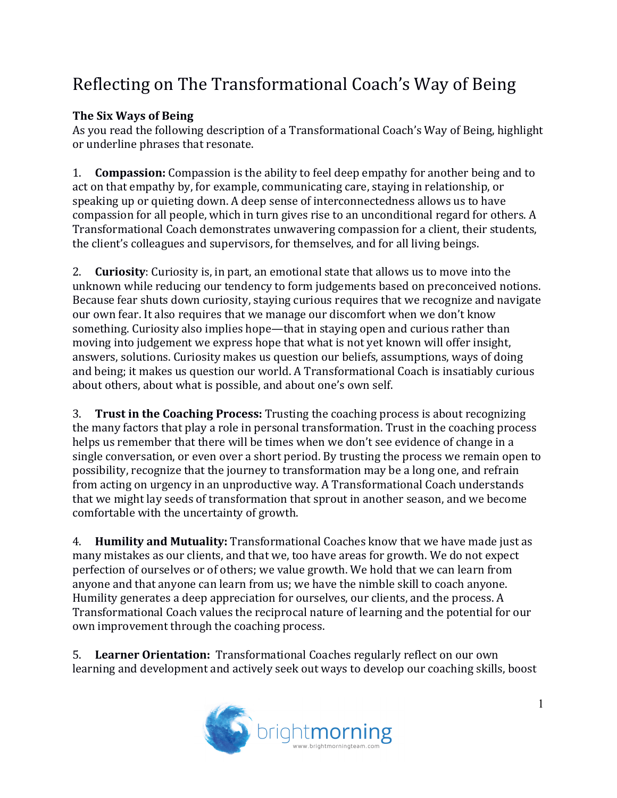## Reflecting on The Transformational Coach's Way of Being

## **The Six Ways of Being**

As you read the following description of a Transformational Coach's Way of Being, highlight or underline phrases that resonate.

1. **Compassion:** Compassion is the ability to feel deep empathy for another being and to act on that empathy by, for example, communicating care, staying in relationship, or speaking up or quieting down. A deep sense of interconnectedness allows us to have compassion for all people, which in turn gives rise to an unconditional regard for others. A Transformational Coach demonstrates unwavering compassion for a client, their students, the client's colleagues and supervisors, for themselves, and for all living beings.

2. **Curiosity**: Curiosity is, in part, an emotional state that allows us to move into the unknown while reducing our tendency to form judgements based on preconceived notions. Because fear shuts down curiosity, staying curious requires that we recognize and navigate our own fear. It also requires that we manage our discomfort when we don't know something. Curiosity also implies hope—that in staying open and curious rather than moving into judgement we express hope that what is not yet known will offer insight, answers, solutions. Curiosity makes us question our beliefs, assumptions, ways of doing and being; it makes us question our world. A Transformational Coach is insatiably curious about others, about what is possible, and about one's own self.

3. **Trust in the Coaching Process:** Trusting the coaching process is about recognizing the many factors that play a role in personal transformation. Trust in the coaching process helps us remember that there will be times when we don't see evidence of change in a single conversation, or even over a short period. By trusting the process we remain open to possibility, recognize that the journey to transformation may be a long one, and refrain from acting on urgency in an unproductive way. A Transformational Coach understands that we might lay seeds of transformation that sprout in another season, and we become comfortable with the uncertainty of growth.

4. **Humility and Mutuality:** Transformational Coaches know that we have made just as many mistakes as our clients, and that we, too have areas for growth. We do not expect perfection of ourselves or of others; we value growth. We hold that we can learn from anyone and that anyone can learn from us; we have the nimble skill to coach anyone. Humility generates a deep appreciation for ourselves, our clients, and the process. A Transformational Coach values the reciprocal nature of learning and the potential for our own improvement through the coaching process.

5. Learner Orientation: Transformational Coaches regularly reflect on our own learning and development and actively seek out ways to develop our coaching skills, boost

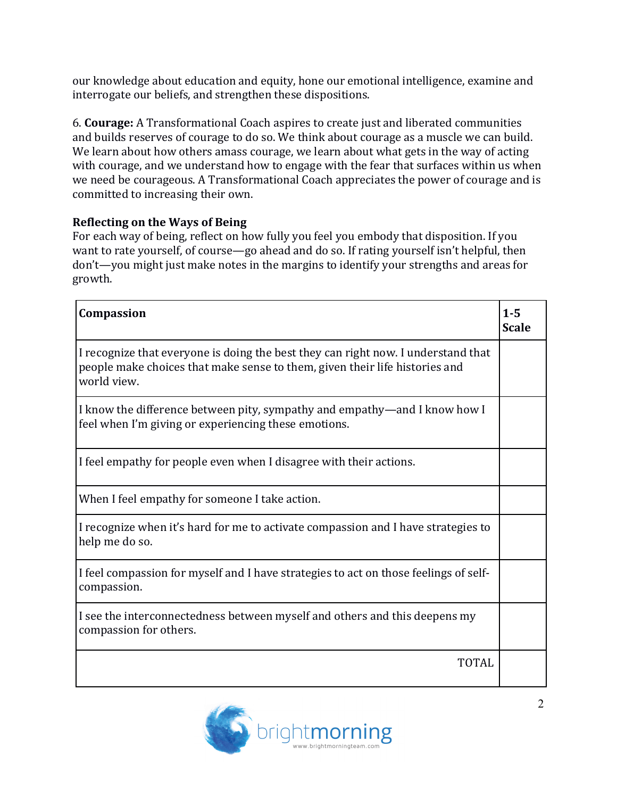our knowledge about education and equity, hone our emotional intelligence, examine and interrogate our beliefs, and strengthen these dispositions.

6. **Courage:** A Transformational Coach aspires to create just and liberated communities and builds reserves of courage to do so. We think about courage as a muscle we can build. We learn about how others amass courage, we learn about what gets in the way of acting with courage, and we understand how to engage with the fear that surfaces within us when we need be courageous. A Transformational Coach appreciates the power of courage and is committed to increasing their own.

## **Reflecting on the Ways of Being**

For each way of being, reflect on how fully you feel you embody that disposition. If you want to rate yourself, of course—go ahead and do so. If rating yourself isn't helpful, then don't—you might just make notes in the margins to identify your strengths and areas for growth. 

| Compassion                                                                                                                                                                      | $1 - 5$<br><b>Scale</b> |
|---------------------------------------------------------------------------------------------------------------------------------------------------------------------------------|-------------------------|
| I recognize that everyone is doing the best they can right now. I understand that<br>people make choices that make sense to them, given their life histories and<br>world view. |                         |
| I know the difference between pity, sympathy and empathy—and I know how I<br>feel when I'm giving or experiencing these emotions.                                               |                         |
| I feel empathy for people even when I disagree with their actions.                                                                                                              |                         |
| When I feel empathy for someone I take action.                                                                                                                                  |                         |
| I recognize when it's hard for me to activate compassion and I have strategies to<br>help me do so.                                                                             |                         |
| I feel compassion for myself and I have strategies to act on those feelings of self-<br>compassion.                                                                             |                         |
| I see the interconnectedness between myself and others and this deepens my<br>compassion for others.                                                                            |                         |
| <b>TOTAL</b>                                                                                                                                                                    |                         |

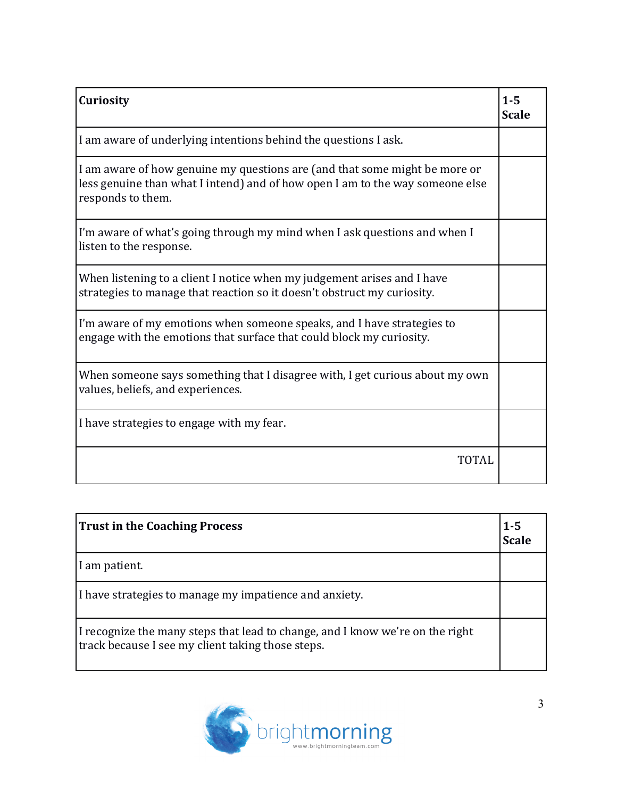| <b>Curiosity</b>                                                                                                                                                                 |  |
|----------------------------------------------------------------------------------------------------------------------------------------------------------------------------------|--|
| I am aware of underlying intentions behind the questions I ask.                                                                                                                  |  |
| I am aware of how genuine my questions are (and that some might be more or<br>less genuine than what I intend) and of how open I am to the way someone else<br>responds to them. |  |
| I'm aware of what's going through my mind when I ask questions and when I<br>listen to the response.                                                                             |  |
| When listening to a client I notice when my judgement arises and I have<br>strategies to manage that reaction so it doesn't obstruct my curiosity.                               |  |
| I'm aware of my emotions when someone speaks, and I have strategies to<br>engage with the emotions that surface that could block my curiosity.                                   |  |
| When someone says something that I disagree with, I get curious about my own<br>values, beliefs, and experiences.                                                                |  |
| I have strategies to engage with my fear.                                                                                                                                        |  |
| <b>TOTAL</b>                                                                                                                                                                     |  |

| <b>Trust in the Coaching Process</b>                                                                                               | $1 - 5$<br><b>Scale</b> |
|------------------------------------------------------------------------------------------------------------------------------------|-------------------------|
| I am patient.                                                                                                                      |                         |
| I have strategies to manage my impatience and anxiety.                                                                             |                         |
| I recognize the many steps that lead to change, and I know we're on the right<br>track because I see my client taking those steps. |                         |

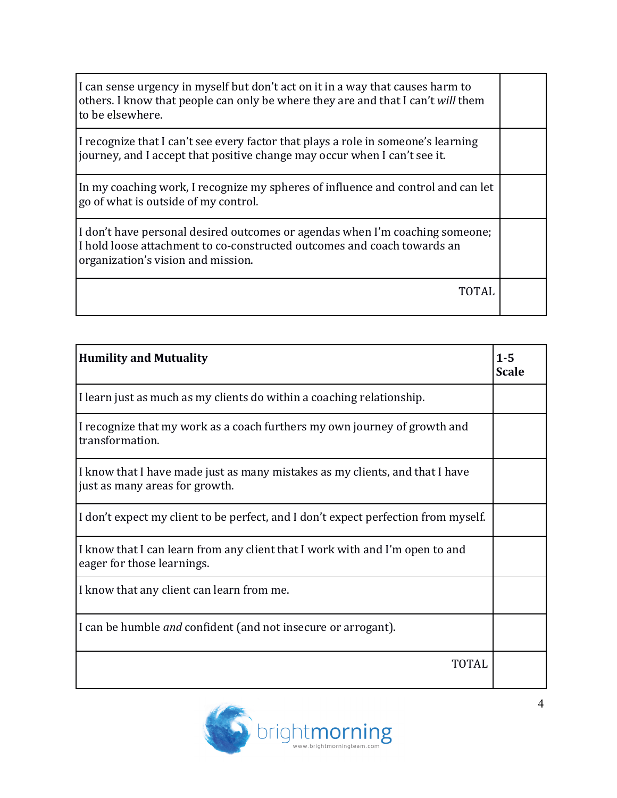| I can sense urgency in myself but don't act on it in a way that causes harm to<br>others. I know that people can only be where they are and that I can't will them<br>to be elsewhere.        |  |
|-----------------------------------------------------------------------------------------------------------------------------------------------------------------------------------------------|--|
| I recognize that I can't see every factor that plays a role in someone's learning<br>journey, and I accept that positive change may occur when I can't see it.                                |  |
| In my coaching work, I recognize my spheres of influence and control and can let<br>go of what is outside of my control.                                                                      |  |
| I don't have personal desired outcomes or agendas when I'm coaching someone;<br>I hold loose attachment to co-constructed outcomes and coach towards an<br>organization's vision and mission. |  |
| TOTAL                                                                                                                                                                                         |  |

| <b>Humility and Mutuality</b>                                                                                  |  |
|----------------------------------------------------------------------------------------------------------------|--|
| I learn just as much as my clients do within a coaching relationship.                                          |  |
| I recognize that my work as a coach furthers my own journey of growth and<br>transformation.                   |  |
| I know that I have made just as many mistakes as my clients, and that I have<br>just as many areas for growth. |  |
| I don't expect my client to be perfect, and I don't expect perfection from myself.                             |  |
| I know that I can learn from any client that I work with and I'm open to and<br>eager for those learnings.     |  |
| I know that any client can learn from me.                                                                      |  |
| I can be humble <i>and</i> confident (and not insecure or arrogant).                                           |  |
| TOTAL                                                                                                          |  |

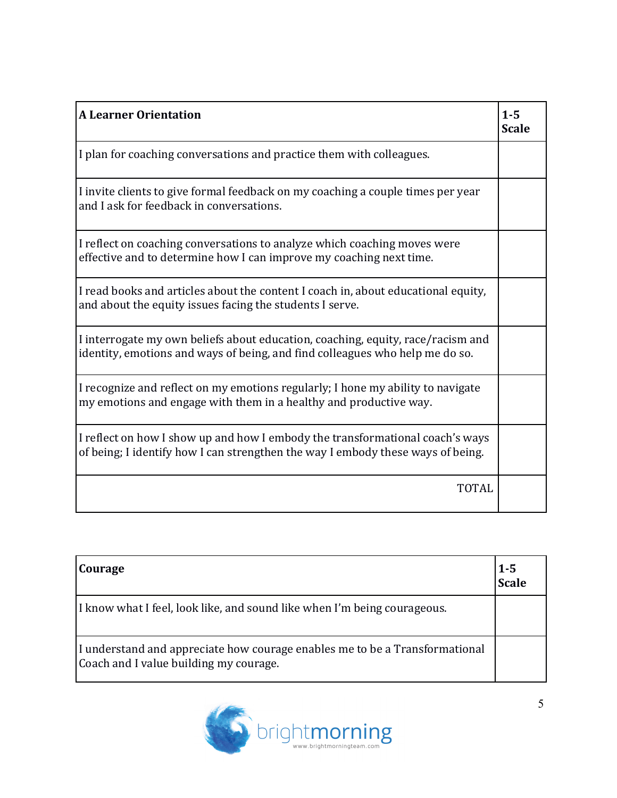| <b>A Learner Orientation</b>                                                                                                                                     | $1 - 5$<br><b>Scale</b> |
|------------------------------------------------------------------------------------------------------------------------------------------------------------------|-------------------------|
| I plan for coaching conversations and practice them with colleagues.                                                                                             |                         |
| I invite clients to give formal feedback on my coaching a couple times per year<br>and I ask for feedback in conversations.                                      |                         |
| I reflect on coaching conversations to analyze which coaching moves were<br>effective and to determine how I can improve my coaching next time.                  |                         |
| I read books and articles about the content I coach in, about educational equity,<br>and about the equity issues facing the students I serve.                    |                         |
| I interrogate my own beliefs about education, coaching, equity, race/racism and<br>identity, emotions and ways of being, and find colleagues who help me do so.  |                         |
| I recognize and reflect on my emotions regularly; I hone my ability to navigate<br>my emotions and engage with them in a healthy and productive way.             |                         |
| I reflect on how I show up and how I embody the transformational coach's ways<br>of being; I identify how I can strengthen the way I embody these ways of being. |                         |
| <b>TOTAL</b>                                                                                                                                                     |                         |

| <b>Courage</b>                                                                                                        | $1 - 5$<br><b>Scale</b> |
|-----------------------------------------------------------------------------------------------------------------------|-------------------------|
| I know what I feel, look like, and sound like when I'm being courageous.                                              |                         |
| I understand and appreciate how courage enables me to be a Transformational<br>Coach and I value building my courage. |                         |

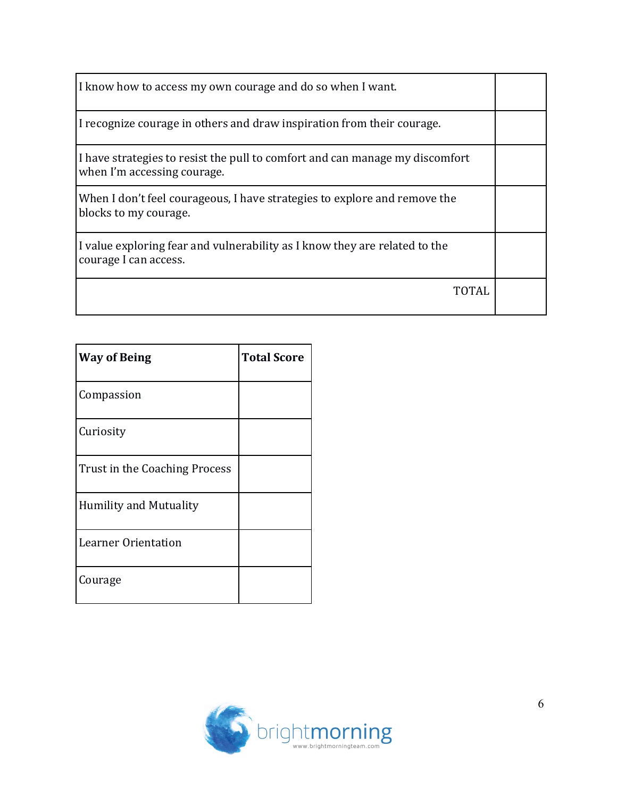| I know how to access my own courage and do so when I want.                                                  |  |
|-------------------------------------------------------------------------------------------------------------|--|
| I recognize courage in others and draw inspiration from their courage.                                      |  |
| I have strategies to resist the pull to comfort and can manage my discomfort<br>when I'm accessing courage. |  |
| When I don't feel courageous, I have strategies to explore and remove the<br>blocks to my courage.          |  |
| I value exploring fear and vulnerability as I know they are related to the<br>courage I can access.         |  |
| TOTAL                                                                                                       |  |

| <b>Way of Being</b>           | <b>Total Score</b> |
|-------------------------------|--------------------|
| Compassion                    |                    |
| Curiosity                     |                    |
| Trust in the Coaching Process |                    |
| <b>Humility and Mutuality</b> |                    |
| <b>Learner Orientation</b>    |                    |
| Courage                       |                    |